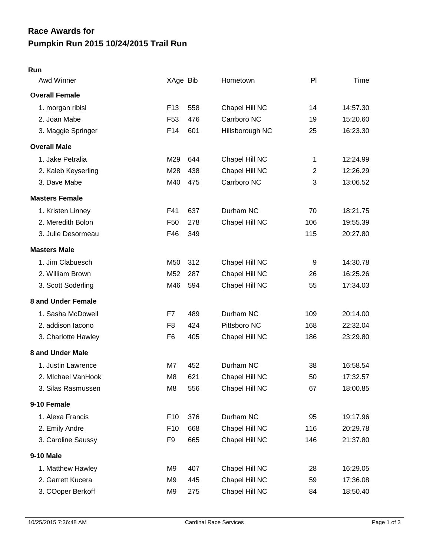## **Pumpkin Run 2015 10/24/2015 Trail Run Race Awards for**

## **Run**

| Awd Winner            | XAge Bib        |     | Hometown        | PI             | Time     |
|-----------------------|-----------------|-----|-----------------|----------------|----------|
| <b>Overall Female</b> |                 |     |                 |                |          |
| 1. morgan ribisl      | F <sub>13</sub> | 558 | Chapel Hill NC  | 14             | 14:57.30 |
| 2. Joan Mabe          | F <sub>53</sub> | 476 | Carrboro NC     | 19             | 15:20.60 |
| 3. Maggie Springer    | F14             | 601 | Hillsborough NC | 25             | 16:23.30 |
| <b>Overall Male</b>   |                 |     |                 |                |          |
| 1. Jake Petralia      | M29             | 644 | Chapel Hill NC  | 1              | 12:24.99 |
| 2. Kaleb Keyserling   | M28             | 438 | Chapel Hill NC  | $\overline{2}$ | 12:26.29 |
| 3. Dave Mabe          | M40             | 475 | Carrboro NC     | 3              | 13:06.52 |
| <b>Masters Female</b> |                 |     |                 |                |          |
| 1. Kristen Linney     | F41             | 637 | Durham NC       | 70             | 18:21.75 |
| 2. Meredith Bolon     | F <sub>50</sub> | 278 | Chapel Hill NC  | 106            | 19:55.39 |
| 3. Julie Desormeau    | F46             | 349 |                 | 115            | 20:27.80 |
| <b>Masters Male</b>   |                 |     |                 |                |          |
| 1. Jim Clabuesch      | M50             | 312 | Chapel Hill NC  | 9              | 14:30.78 |
| 2. William Brown      | M52             | 287 | Chapel Hill NC  | 26             | 16:25.26 |
| 3. Scott Soderling    | M46             | 594 | Chapel Hill NC  | 55             | 17:34.03 |
| 8 and Under Female    |                 |     |                 |                |          |
| 1. Sasha McDowell     | F7              | 489 | Durham NC       | 109            | 20:14.00 |
| 2. addison lacono     | F8              | 424 | Pittsboro NC    | 168            | 22:32.04 |
| 3. Charlotte Hawley   | F <sub>6</sub>  | 405 | Chapel Hill NC  | 186            | 23:29.80 |
| 8 and Under Male      |                 |     |                 |                |          |
| 1. Justin Lawrence    | M7              | 452 | Durham NC       | 38             | 16:58.54 |
| 2. Michael VanHook    | M <sub>8</sub>  | 621 | Chapel Hill NC  | 50             | 17:32.57 |
| 3. Silas Rasmussen    | M <sub>8</sub>  | 556 | Chapel Hill NC  | 67             | 18:00.85 |
| 9-10 Female           |                 |     |                 |                |          |
| 1. Alexa Francis      | F <sub>10</sub> | 376 | Durham NC       | 95             | 19:17.96 |
| 2. Emily Andre        | F <sub>10</sub> | 668 | Chapel Hill NC  | 116            | 20:29.78 |
| 3. Caroline Saussy    | F <sub>9</sub>  | 665 | Chapel Hill NC  | 146            | 21:37.80 |
| 9-10 Male             |                 |     |                 |                |          |
| 1. Matthew Hawley     | M9              | 407 | Chapel Hill NC  | 28             | 16:29.05 |
| 2. Garrett Kucera     | M <sub>9</sub>  | 445 | Chapel Hill NC  | 59             | 17:36.08 |
| 3. COoper Berkoff     | M <sub>9</sub>  | 275 | Chapel Hill NC  | 84             | 18:50.40 |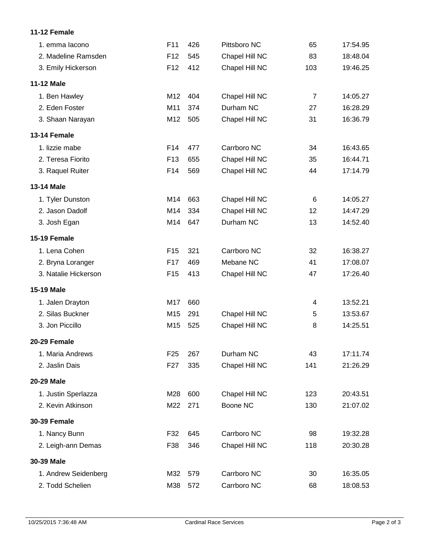## **11-12 Female**

| 1. emma lacono       | F11             | 426 | Pittsboro NC   | 65             | 17:54.95 |
|----------------------|-----------------|-----|----------------|----------------|----------|
| 2. Madeline Ramsden  | F <sub>12</sub> | 545 | Chapel Hill NC | 83             | 18:48.04 |
| 3. Emily Hickerson   | F <sub>12</sub> | 412 | Chapel Hill NC | 103            | 19:46.25 |
| <b>11-12 Male</b>    |                 |     |                |                |          |
| 1. Ben Hawley        | M12             | 404 | Chapel Hill NC | $\overline{7}$ | 14:05.27 |
| 2. Eden Foster       | M11             | 374 | Durham NC      | 27             | 16:28.29 |
| 3. Shaan Narayan     | M12             | 505 | Chapel Hill NC | 31             | 16:36.79 |
| 13-14 Female         |                 |     |                |                |          |
| 1. lizzie mabe       | F14             | 477 | Carrboro NC    | 34             | 16:43.65 |
| 2. Teresa Fiorito    | F <sub>13</sub> | 655 | Chapel Hill NC | 35             | 16:44.71 |
| 3. Raquel Ruiter     | F14             | 569 | Chapel Hill NC | 44             | 17:14.79 |
| <b>13-14 Male</b>    |                 |     |                |                |          |
| 1. Tyler Dunston     | M14             | 663 | Chapel Hill NC | 6              | 14:05.27 |
| 2. Jason Dadolf      | M14             | 334 | Chapel Hill NC | 12             | 14:47.29 |
| 3. Josh Egan         | M14             | 647 | Durham NC      | 13             | 14:52.40 |
| 15-19 Female         |                 |     |                |                |          |
| 1. Lena Cohen        | F <sub>15</sub> | 321 | Carrboro NC    | 32             | 16:38.27 |
| 2. Bryna Loranger    | F17             | 469 | Mebane NC      | 41             | 17:08.07 |
| 3. Natalie Hickerson | F <sub>15</sub> | 413 | Chapel Hill NC | 47             | 17:26.40 |
| 15-19 Male           |                 |     |                |                |          |
| 1. Jalen Drayton     | M17             | 660 |                | 4              | 13:52.21 |
| 2. Silas Buckner     | M15             | 291 | Chapel Hill NC | 5              | 13:53.67 |
| 3. Jon Piccillo      | M15             | 525 | Chapel Hill NC | 8              | 14:25.51 |
| 20-29 Female         |                 |     |                |                |          |
| 1. Maria Andrews     | F <sub>25</sub> | 267 | Durham NC      | 43             | 17:11.74 |
| 2. Jaslin Dais       | F <sub>27</sub> | 335 | Chapel Hill NC | 141            | 21:26.29 |
| 20-29 Male           |                 |     |                |                |          |
| 1. Justin Sperlazza  | M28             | 600 | Chapel Hill NC | 123            | 20:43.51 |
| 2. Kevin Atkinson    | M22             | 271 | Boone NC       | 130            | 21:07.02 |
| <b>30-39 Female</b>  |                 |     |                |                |          |
| 1. Nancy Bunn        | F32             | 645 | Carrboro NC    | 98             | 19:32.28 |
| 2. Leigh-ann Demas   | F38             | 346 | Chapel Hill NC | 118            | 20:30.28 |
| 30-39 Male           |                 |     |                |                |          |
| 1. Andrew Seidenberg | M32             | 579 | Carrboro NC    | 30             | 16:35.05 |
| 2. Todd Schelien     | M38             | 572 | Carrboro NC    | 68             | 18:08.53 |